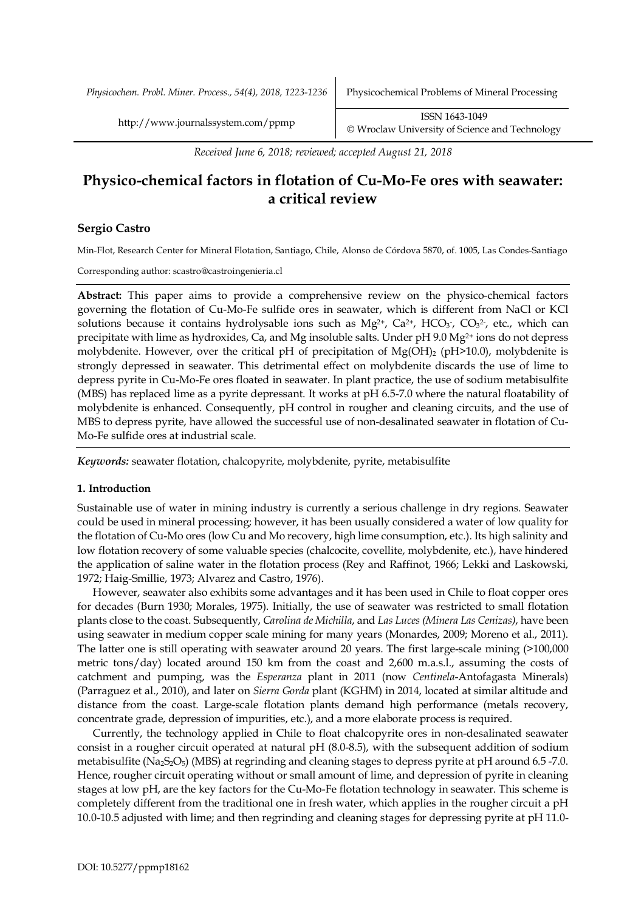*Physicochem. Probl. Miner. Process., 54(4), 2018, 1223-1236* Physicochemical Problems of Mineral Processing

*Received June 6, 2018; reviewed; accepted August 21, 2018*

# **Physico-chemical factors in flotation of Cu-Mo-Fe ores with seawater: a critical review**

## **Sergio Castro**

Min-Flot, Research Center for Mineral Flotation, Santiago, Chile, Alonso de Córdova 5870, of. 1005, Las Condes-Santiago

Corresponding author: scastro@castroingenieria.cl

**Abstract:** This paper aims to provide a comprehensive review on the physico-chemical factors governing the flotation of Cu-Mo-Fe sulfide ores in seawater, which is different from NaCl or KCl solutions because it contains hydrolysable ions such as  $Mg^{2+}$ ,  $Ca^{2+}$ ,  $HCO<sub>3</sub>$ ,  $CO<sub>3</sub>$ <sup>2</sup>, etc., which can precipitate with lime as hydroxides, Ca, and Mg insoluble salts. Under pH 9.0 Mg2+ ions do not depress molybdenite. However, over the critical pH of precipitation of Mg(OH)<sub>2</sub> (pH>10.0), molybdenite is strongly depressed in seawater. This detrimental effect on molybdenite discards the use of lime to depress pyrite in Cu-Mo-Fe ores floated in seawater. In plant practice, the use of sodium metabisulfite (MBS) has replaced lime as a pyrite depressant. It works at pH 6.5-7.0 where the natural floatability of molybdenite is enhanced. Consequently, pH control in rougher and cleaning circuits, and the use of MBS to depress pyrite, have allowed the successful use of non-desalinated seawater in flotation of Cu-Mo-Fe sulfide ores at industrial scale.

*Keywords:* seawater flotation, chalcopyrite, molybdenite, pyrite, metabisulfite

#### **1. Introduction**

Sustainable use of water in mining industry is currently a serious challenge in dry regions. Seawater could be used in mineral processing; however, it has been usually considered a water of low quality for the flotation of Cu-Mo ores (low Cu and Mo recovery, high lime consumption, etc.). Its high salinity and low flotation recovery of some valuable species (chalcocite, covellite, molybdenite, etc.), have hindered the application of saline water in the flotation process (Rey and Raffinot, 1966; Lekki and Laskowski, 1972; Haig-Smillie, 1973; Alvarez and Castro, 1976).

However, seawater also exhibits some advantages and it has been used in Chile to float copper ores for decades (Burn 1930; Morales, 1975). Initially, the use of seawater was restricted to small flotation plants close to the coast. Subsequently, *Carolina de Michilla*, and *Las Luces (Minera Las Cenizas)*, have been using seawater in medium copper scale mining for many years (Monardes, 2009; Moreno et al., 2011). The latter one is still operating with seawater around 20 years. The first large-scale mining (>100,000 metric tons/day) located around 150 km from the coast and 2,600 m.a.s.l., assuming the costs of catchment and pumping, was the *Esperanza* plant in 2011 (now *Centinela*-Antofagasta Minerals) (Parraguez et al., 2010), and later on *Sierra Gorda* plant (KGHM) in 2014, located at similar altitude and distance from the coast. Large-scale flotation plants demand high performance (metals recovery, concentrate grade, depression of impurities, etc.), and a more elaborate process is required.

Currently, the technology applied in Chile to float chalcopyrite ores in non-desalinated seawater consist in a rougher circuit operated at natural pH (8.0-8.5), with the subsequent addition of sodium metabisulfite (Na<sub>2</sub>S<sub>2</sub>O<sub>5</sub>) (MBS) at regrinding and cleaning stages to depress pyrite at pH around 6.5 -7.0. Hence, rougher circuit operating without or small amount of lime, and depression of pyrite in cleaning stages at low pH, are the key factors for the Cu-Mo-Fe flotation technology in seawater. This scheme is completely different from the traditional one in fresh water, which applies in the rougher circuit a pH 10.0-10.5 adjusted with lime; and then regrinding and cleaning stages for depressing pyrite at pH 11.0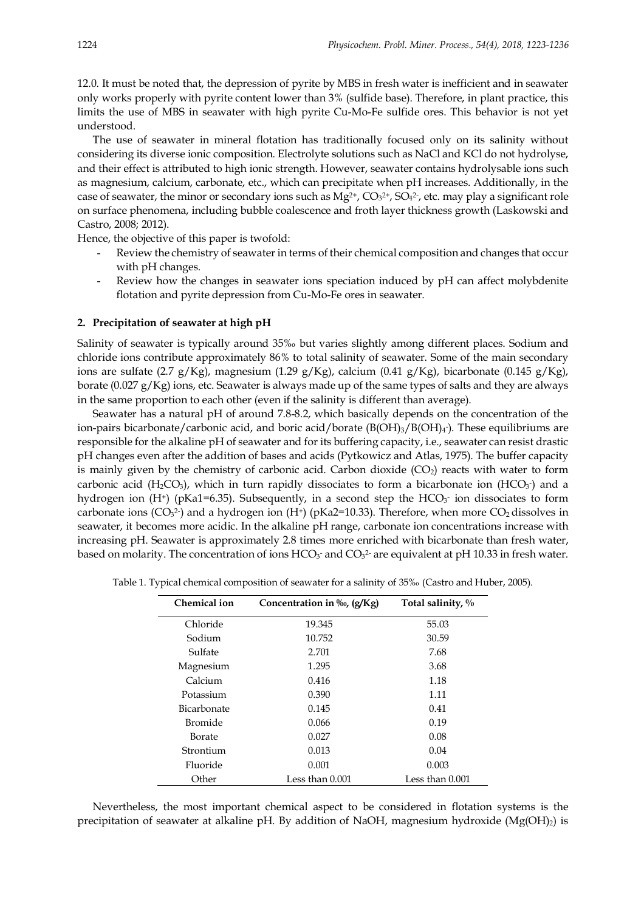12.0. It must be noted that, the depression of pyrite by MBS in fresh water is inefficient and in seawater only works properly with pyrite content lower than 3% (sulfide base). Therefore, in plant practice, this limits the use of MBS in seawater with high pyrite Cu-Mo-Fe sulfide ores. This behavior is not yet understood.

The use of seawater in mineral flotation has traditionally focused only on its salinity without considering its diverse ionic composition. Electrolyte solutions such as NaCl and KCl do not hydrolyse, and their effect is attributed to high ionic strength. However, seawater contains hydrolysable ions such as magnesium, calcium, carbonate, etc., which can precipitate when pH increases. Additionally, in the case of seawater, the minor or secondary ions such as  $Mg^{2+}$ ,  $CO<sub>3</sub><sup>2+</sup>$ ,  $SO<sub>4</sub><sup>2</sup>$ , etc. may play a significant role on surface phenomena, including bubble coalescence and froth layer thickness growth (Laskowski and Castro, 2008; 2012).

Hence, the objective of this paper is twofold:

- Review the chemistry of seawater in terms of their chemical composition and changes that occur with pH changes.
- Review how the changes in seawater ions speciation induced by pH can affect molybdenite flotation and pyrite depression from Cu-Mo-Fe ores in seawater.

#### **2. Precipitation of seawater at high pH**

Salinity of seawater is typically around 35‰ but varies slightly among different places. Sodium and chloride ions contribute approximately 86% to total salinity of seawater. Some of the main secondary ions are sulfate (2.7 g/Kg), magnesium (1.29 g/Kg), calcium (0.41 g/Kg), bicarbonate (0.145 g/Kg), borate (0.027  $g/Kg$ ) ions, etc. Seawater is always made up of the same types of salts and they are always in the same proportion to each other (even if the salinity is different than average).

Seawater has a natural pH of around 7.8-8.2, which basically depends on the concentration of the ion-pairs bicarbonate/carbonic acid, and boric acid/borate  $(B(OH)_3/B(OH)_4)$ . These equilibriums are responsible for the alkaline pH of seawater and for its buffering capacity, i.e., seawater can resist drastic pH changes even after the addition of bases and acids (Pytkowicz and Atlas, 1975). The buffer capacity is mainly given by the chemistry of carbonic acid. Carbon dioxide  $(CO<sub>2</sub>)$  reacts with water to form carbonic acid  $(H_2CO_3)$ , which in turn rapidly dissociates to form a bicarbonate ion  $(HCO_3^-)$  and a hydrogen ion  $(H^+)$  (pKa1=6.35). Subsequently, in a second step the  $HCO<sub>3</sub>$  ion dissociates to form carbonate ions ( $CO<sub>3</sub>$ <sup>2</sup>) and a hydrogen ion (H<sup>+</sup>) (pKa2=10.33). Therefore, when more  $CO<sub>2</sub>$  dissolves in seawater, it becomes more acidic. In the alkaline pH range, carbonate ion concentrations increase with increasing pH. Seawater is approximately 2.8 times more enriched with bicarbonate than fresh water, based on molarity. The concentration of ions  $HCO_3$  and  $CO_3$ <sup>2</sup> are equivalent at pH 10.33 in fresh water.

| <b>Chemical ion</b> | Concentration in ‰, (g/Kg) | Total salinity, $\%$ |
|---------------------|----------------------------|----------------------|
| Chloride            | 19.345                     | 55.03                |
| Sodium              | 10.752                     | 30.59                |
| Sulfate             | 2.701                      | 7.68                 |
| Magnesium           | 1.295                      | 3.68                 |
| Calcium             | 0.416                      | 1.18                 |
| Potassium           | 0.390                      | 1.11                 |
| <b>Bicarbonate</b>  | 0.145                      | 0.41                 |
| <b>Bromide</b>      | 0.066                      | 0.19                 |
| Borate              | 0.027                      | 0.08                 |
| Strontium           | 0.013                      | 0.04                 |
| Fluoride            | 0.001                      | 0.003                |
| Other               | Less than $0.001$          | Less than 0.001      |

Table 1. Typical chemical composition of seawater for a salinity of 35‰ (Castro and Huber, 2005).

Nevertheless, the most important chemical aspect to be considered in flotation systems is the precipitation of seawater at alkaline pH. By addition of NaOH, magnesium hydroxide  $(Mg(OH)_2)$  is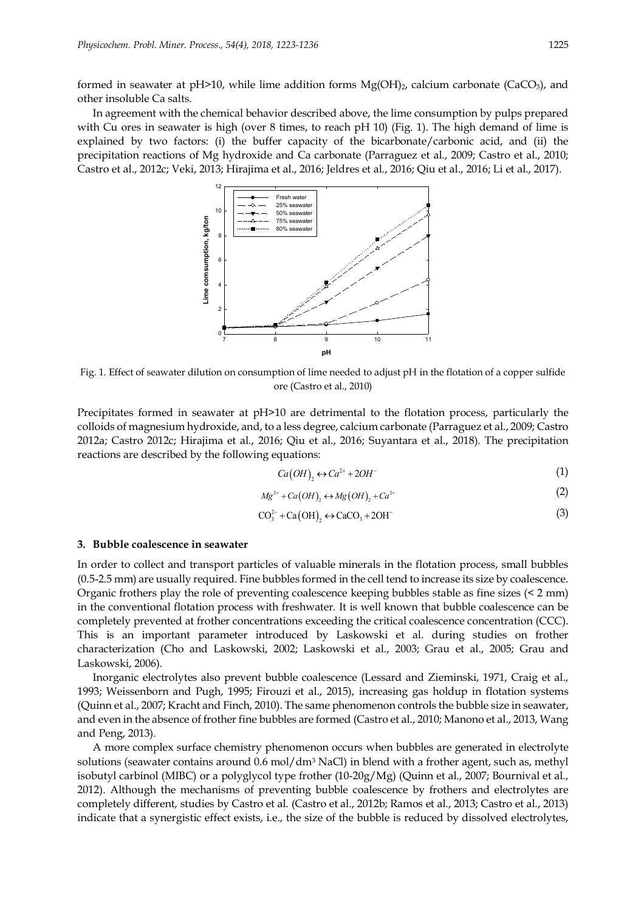formed in seawater at pH $>10$ , while lime addition forms  $Mg(OH)_2$ , calcium carbonate (CaCO<sub>3</sub>), and other insoluble Ca salts.

In agreement with the chemical behavior described above, the lime consumption by pulps prepared with Cu ores in seawater is high (over 8 times, to reach pH 10) (Fig. 1). The high demand of lime is explained by two factors: (i) the buffer capacity of the bicarbonate/carbonic acid, and (ii) the precipitation reactions of Mg hydroxide and Ca carbonate (Parraguez et al., 2009; Castro et al., 2010; Castro et al., 2012c; Veki, 2013; Hirajima et al., 2016; Jeldres et al., 2016; Qiu et al., 2016; Li et al., 2017).



Fig. 1. Effect of seawater dilution on consumption of lime needed to adjust pH in the flotation of a copper sulfide ore (Castro et al., 2010)

Precipitates formed in seawater at pH>10 are detrimental to the flotation process, particularly the colloids of magnesium hydroxide, and, to a less degree, calcium carbonate (Parraguez et al., 2009; Castro 2012a; Castro 2012c; Hirajima et al., 2016; Qiu et al., 2016; Suyantara et al., 2018). The precipitation reactions are described by the following equations:

$$
Ca(OH)_2 \leftrightarrow Ca^{2+} + 2OH^-
$$
 (1)

$$
Mg^{2+} + Ca(OH)_2 \leftrightarrow Mg(OH)_2 + Ca^{2+}
$$
 (2)

$$
CO32 + Ca(OH)2 \leftrightarrow CaCO3 + 2OH
$$
 (3)

#### **3. Bubble coalescence in seawater**

In order to collect and transport particles of valuable minerals in the flotation process, small bubbles (0.5-2.5 mm) are usually required. Fine bubbles formed in the cell tend to increase its size by coalescence. Organic frothers play the role of preventing coalescence keeping bubbles stable as fine sizes (< 2 mm) in the conventional flotation process with freshwater. It is well known that bubble coalescence can be completely prevented at frother concentrations exceeding the critical coalescence concentration (CCC). This is an important parameter introduced by Laskowski et al. during studies on frother characterization (Cho and Laskowski, 2002; Laskowski et al., 2003; Grau et al., 2005; Grau and Laskowski, 2006).

Inorganic electrolytes also prevent bubble coalescence (Lessard and Zieminski, 1971, Craig et al., 1993; Weissenborn and Pugh, 1995; Firouzi et al., 2015), increasing gas holdup in flotation systems (Quinn et al., 2007; Kracht and Finch, 2010). The same phenomenon controls the bubble size in seawater, and even in the absence of frother fine bubbles are formed (Castro et al., 2010; Manono et al., 2013, Wang and Peng, 2013).

A more complex surface chemistry phenomenon occurs when bubbles are generated in electrolyte solutions (seawater contains around 0.6 mol/dm<sup>3</sup> NaCl) in blend with a frother agent, such as, methyl isobutyl carbinol (MIBC) or a polyglycol type frother (10-20g/Mg) (Quinn et al., 2007; Bournival et al., 2012). Although the mechanisms of preventing bubble coalescence by frothers and electrolytes are completely different, studies by Castro et al. (Castro et al., 2012b; Ramos et al., 2013; Castro et al., 2013) indicate that a synergistic effect exists, i.e., the size of the bubble is reduced by dissolved electrolytes,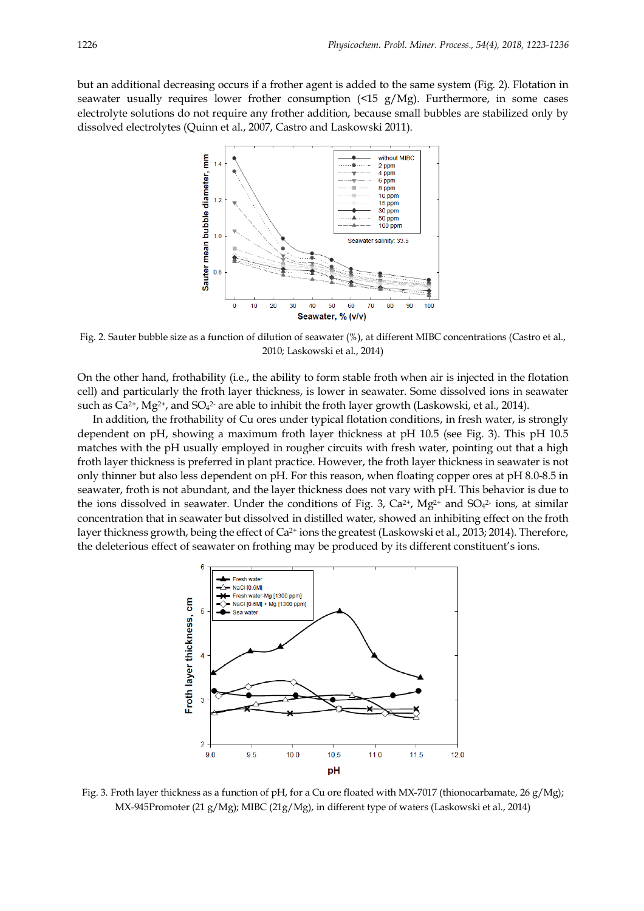but an additional decreasing occurs if a frother agent is added to the same system (Fig. 2). Flotation in seawater usually requires lower frother consumption (<15 g/Mg). Furthermore, in some cases electrolyte solutions do not require any frother addition, because small bubbles are stabilized only by dissolved electrolytes (Quinn et al., 2007, Castro and Laskowski 2011).



Fig. 2. Sauter bubble size as a function of dilution of seawater (%), at different MIBC concentrations (Castro et al., 2010; Laskowski et al., 2014)

On the other hand, frothability (i.e., the ability to form stable froth when air is injected in the flotation cell) and particularly the froth layer thickness, is lower in seawater. Some dissolved ions in seawater such as  $Ca^{2+}$ , Mg<sup>2+</sup>, and SO<sub>4</sub><sup>2</sup> are able to inhibit the froth layer growth (Laskowski, et al., 2014).

In addition, the frothability of Cu ores under typical flotation conditions, in fresh water, is strongly dependent on pH, showing a maximum froth layer thickness at pH 10.5 (see Fig. 3). This pH 10.5 matches with the pH usually employed in rougher circuits with fresh water, pointing out that a high froth layer thickness is preferred in plant practice. However, the froth layer thickness in seawater is not only thinner but also less dependent on pH. For this reason, when floating copper ores at pH 8.0-8.5 in seawater, froth is not abundant, and the layer thickness does not vary with pH. This behavior is due to the ions dissolved in seawater. Under the conditions of Fig. 3,  $Ca^{2+}$ , Mg<sup>2+</sup> and SO<sub>4</sub><sup>2-</sup> ions, at similar concentration that in seawater but dissolved in distilled water, showed an inhibiting effect on the froth layer thickness growth, being the effect of Ca<sup>2+</sup> ions the greatest (Laskowski et al., 2013; 2014). Therefore, the deleterious effect of seawater on frothing may be produced by its different constituent's ions.



Fig. 3. Froth layer thickness as a function of pH, for a Cu ore floated with MX-7017 (thionocarbamate, 26 g/Mg); MX-945Promoter (21 g/Mg); MIBC (21g/Mg), in different type of waters (Laskowski et al., 2014)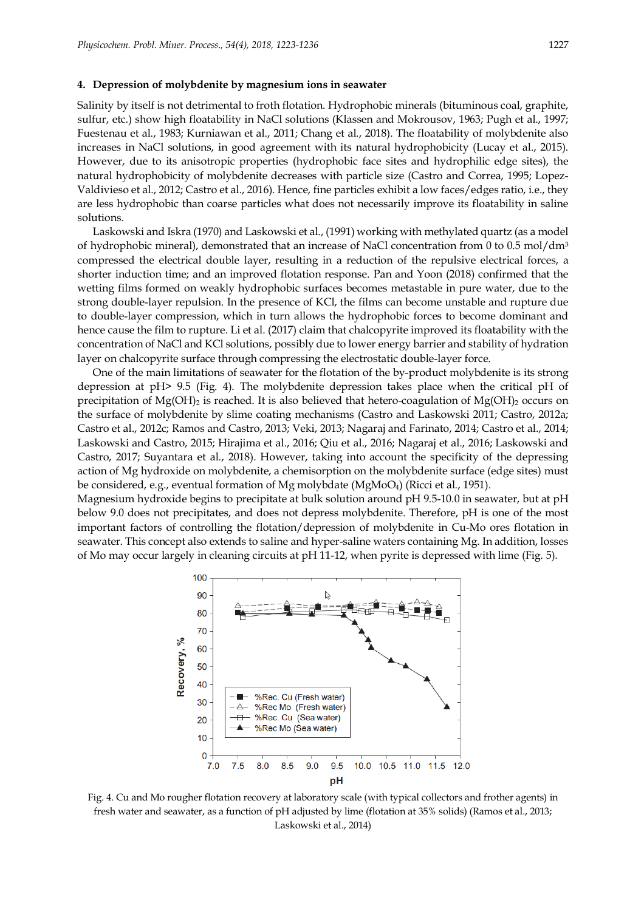#### **4. Depression of molybdenite by magnesium ions in seawater**

Salinity by itself is not detrimental to froth flotation. Hydrophobic minerals (bituminous coal, graphite, sulfur, etc.) show high floatability in NaCl solutions (Klassen and Mokrousov, 1963; Pugh et al., 1997; Fuestenau et al., 1983; Kurniawan et al., 2011; Chang et al., 2018). The floatability of molybdenite also increases in NaCl solutions, in good agreement with its natural hydrophobicity (Lucay et al., 2015). However, due to its anisotropic properties (hydrophobic face sites and hydrophilic edge sites), the natural hydrophobicity of molybdenite decreases with particle size (Castro and Correa, 1995; Lopez-Valdivieso et al., 2012; Castro et al., 2016). Hence, fine particles exhibit a low faces/edges ratio, i.e., they are less hydrophobic than coarse particles what does not necessarily improve its floatability in saline solutions.

Laskowski and Iskra (1970) and Laskowski et al., (1991) working with methylated quartz (as a model of hydrophobic mineral), demonstrated that an increase of NaCl concentration from 0 to 0.5 mol/dm<sup>3</sup> compressed the electrical double layer, resulting in a reduction of the repulsive electrical forces, a shorter induction time; and an improved flotation response. Pan and Yoon (2018) confirmed that the wetting films formed on weakly hydrophobic surfaces becomes metastable in pure water, due to the strong double-layer repulsion. In the presence of KCl, the films can become unstable and rupture due to double-layer compression, which in turn allows the hydrophobic forces to become dominant and hence cause the film to rupture. Li et al. (2017) claim that chalcopyrite improved its floatability with the concentration of NaCl and KCl solutions, possibly due to lower energy barrier and stability of hydration layer on chalcopyrite surface through compressing the electrostatic double-layer force.

One of the main limitations of seawater for the flotation of the by-product molybdenite is its strong depression at pH> 9.5 (Fig. 4). The molybdenite depression takes place when the critical pH of precipitation of  $Mg(OH)_2$  is reached. It is also believed that hetero-coagulation of  $Mg(OH)_2$  occurs on the surface of molybdenite by slime coating mechanisms (Castro and Laskowski 2011; Castro, 2012a; Castro et al., 2012c; Ramos and Castro, 2013; Veki, 2013; Nagaraj and Farinato, 2014; Castro et al., 2014; Laskowski and Castro, 2015; Hirajima et al., 2016; Qiu et al., 2016; Nagaraj et al., 2016; Laskowski and Castro, 2017; Suyantara et al., 2018). However, taking into account the specificity of the depressing action of Mg hydroxide on molybdenite, a chemisorption on the molybdenite surface (edge sites) must be considered, e.g., eventual formation of Mg molybdate (MgMoO4) (Ricci et al., 1951).

Magnesium hydroxide begins to precipitate at bulk solution around pH 9.5-10.0 in seawater, but at pH below 9.0 does not precipitates, and does not depress molybdenite. Therefore, pH is one of the most important factors of controlling the flotation/depression of molybdenite in Cu-Mo ores flotation in seawater. This concept also extends to saline and hyper-saline waters containing Mg. In addition, losses of Mo may occur largely in cleaning circuits at pH 11-12, when pyrite is depressed with lime (Fig. 5).



Fig. 4. Cu and Mo rougher flotation recovery at laboratory scale (with typical collectors and frother agents) in fresh water and seawater, as a function of pH adjusted by lime (flotation at 35% solids) (Ramos et al., 2013; Laskowski et al., 2014)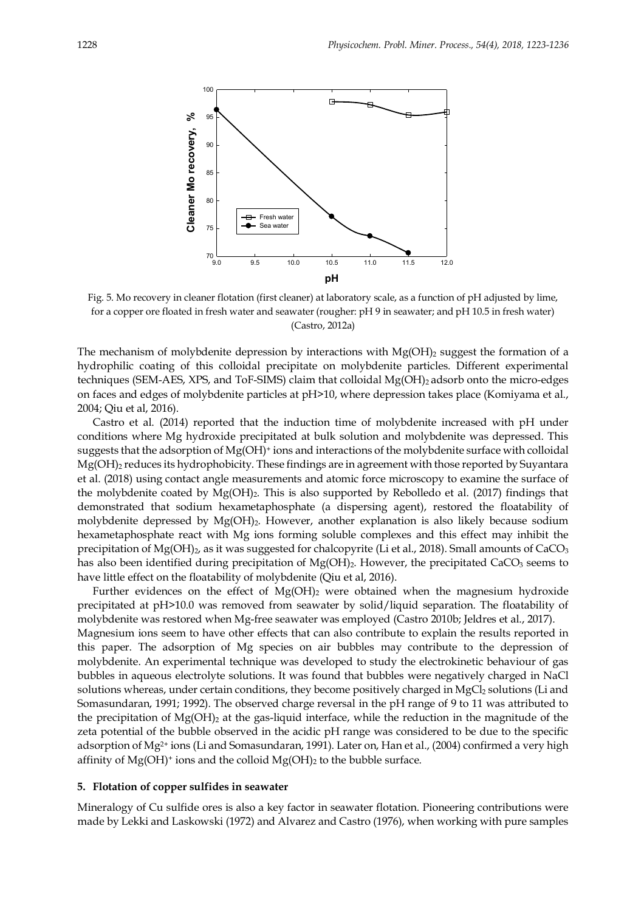

Fig. 5. Mo recovery in cleaner flotation (first cleaner) at laboratory scale, as a function of pH adjusted by lime, for a copper ore floated in fresh water and seawater (rougher: pH 9 in seawater; and pH 10.5 in fresh water) (Castro, 2012a)

The mechanism of molybdenite depression by interactions with  $Mg(OH)_2$  suggest the formation of a hydrophilic coating of this colloidal precipitate on molybdenite particles. Different experimental techniques (SEM-AES, XPS, and ToF-SIMS) claim that colloidal Mg(OH)<sub>2</sub> adsorb onto the micro-edges on faces and edges of molybdenite particles at pH>10, where depression takes place (Komiyama et al., 2004; Qiu et al, 2016).

Castro et al. (2014) reported that the induction time of molybdenite increased with pH under conditions where Mg hydroxide precipitated at bulk solution and molybdenite was depressed. This suggests that the adsorption of  $Mg(OH)$ <sup>+</sup> ions and interactions of the molybdenite surface with colloidal Mg(OH)<sub>2</sub> reduces its hydrophobicity. These findings are in agreement with those reported by Suyantara et al. (2018) using contact angle measurements and atomic force microscopy to examine the surface of the molybdenite coated by  $Mg(OH)_2$ . This is also supported by Rebolledo et al. (2017) findings that demonstrated that sodium hexametaphosphate (a dispersing agent), restored the floatability of molybdenite depressed by  $Mg(OH)_2$ . However, another explanation is also likely because sodium hexametaphosphate react with Mg ions forming soluble complexes and this effect may inhibit the precipitation of  $Mg(OH)_2$ , as it was suggested for chalcopyrite (Li et al., 2018). Small amounts of CaCO<sub>3</sub> has also been identified during precipitation of  $Mg(OH)_2$ . However, the precipitated CaCO<sub>3</sub> seems to have little effect on the floatability of molybdenite (Qiu et al, 2016).

Further evidences on the effect of  $Mg(OH)_2$  were obtained when the magnesium hydroxide precipitated at pH>10.0 was removed from seawater by solid/liquid separation. The floatability of molybdenite was restored when Mg-free seawater was employed (Castro 2010b; Jeldres et al., 2017). Magnesium ions seem to have other effects that can also contribute to explain the results reported in this paper. The adsorption of Mg species on air bubbles may contribute to the depression of molybdenite. An experimental technique was developed to study the electrokinetic behaviour of gas bubbles in aqueous electrolyte solutions. It was found that bubbles were negatively charged in NaCl solutions whereas, under certain conditions, they become positively charged in MgCl<sub>2</sub> solutions (Li and Somasundaran, 1991; 1992). The observed charge reversal in the pH range of 9 to 11 was attributed to the precipitation of  $Mg(OH)$ <sub>2</sub> at the gas-liquid interface, while the reduction in the magnitude of the zeta potential of the bubble observed in the acidic pH range was considered to be due to the specific adsorption of Mg2+ ions (Li and Somasundaran, 1991). Later on, Han et al., (2004) confirmed a very high affinity of  $Mg(OH)$ <sup>+</sup> ions and the colloid  $Mg(OH)_2$  to the bubble surface.

## **5. Flotation of copper sulfides in seawater**

Mineralogy of Cu sulfide ores is also a key factor in seawater flotation. Pioneering contributions were made by Lekki and Laskowski (1972) and Alvarez and Castro (1976), when working with pure samples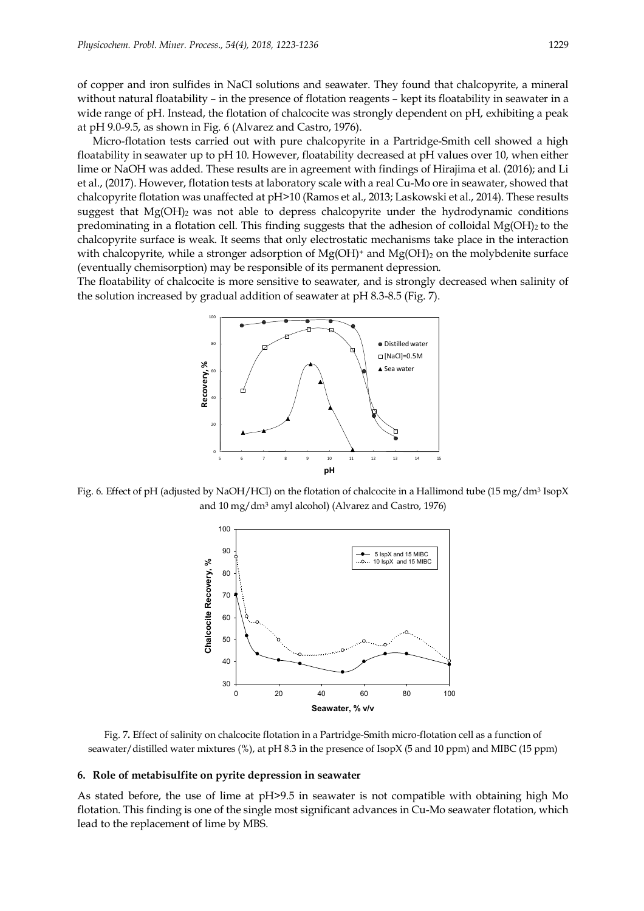of copper and iron sulfides in NaCl solutions and seawater. They found that chalcopyrite, a mineral without natural floatability – in the presence of flotation reagents – kept its floatability in seawater in a wide range of pH. Instead, the flotation of chalcocite was strongly dependent on pH, exhibiting a peak at pH 9.0-9.5, as shown in Fig. 6 (Alvarez and Castro, 1976).

Micro-flotation tests carried out with pure chalcopyrite in a Partridge-Smith cell showed a high floatability in seawater up to pH 10. However, floatability decreased at pH values over 10, when either lime or NaOH was added. These results are in agreement with findings of Hirajima et al. (2016); and Li et al., (2017). However, flotation tests at laboratory scale with a real Cu-Mo ore in seawater, showed that chalcopyrite flotation was unaffected at pH>10 (Ramos et al., 2013; Laskowski et al., 2014). These results suggest that  $Mg(OH)$ <sub>2</sub> was not able to depress chalcopyrite under the hydrodynamic conditions predominating in a flotation cell. This finding suggests that the adhesion of colloidal  $Mg(OH)_{2}$  to the chalcopyrite surface is weak. It seems that only electrostatic mechanisms take place in the interaction with chalcopyrite, while a stronger adsorption of  $Mg(OH)^+$  and  $Mg(OH)_2$  on the molybdenite surface (eventually chemisorption) may be responsible of its permanent depression.

The floatability of chalcocite is more sensitive to seawater, and is strongly decreased when salinity of the solution increased by gradual addition of seawater at pH 8.3-8.5 (Fig. 7).



Fig. 6. Effect of pH (adjusted by NaOH/HCl) on the flotation of chalcocite in a Hallimond tube (15 mg/dm<sup>3</sup> IsopX and 10 mg/dm<sup>3</sup> amyl alcohol) (Alvarez and Castro, 1976)



Fig. 7**.** Effect of salinity on chalcocite flotation in a Partridge-Smith micro-flotation cell as a function of seawater/distilled water mixtures (%), at pH 8.3 in the presence of IsopX (5 and 10 ppm) and MIBC (15 ppm)

### **6. Role of metabisulfite on pyrite depression in seawater**

As stated before, the use of lime at pH>9.5 in seawater is not compatible with obtaining high Mo flotation. This finding is one of the single most significant advances in Cu-Mo seawater flotation, which lead to the replacement of lime by MBS.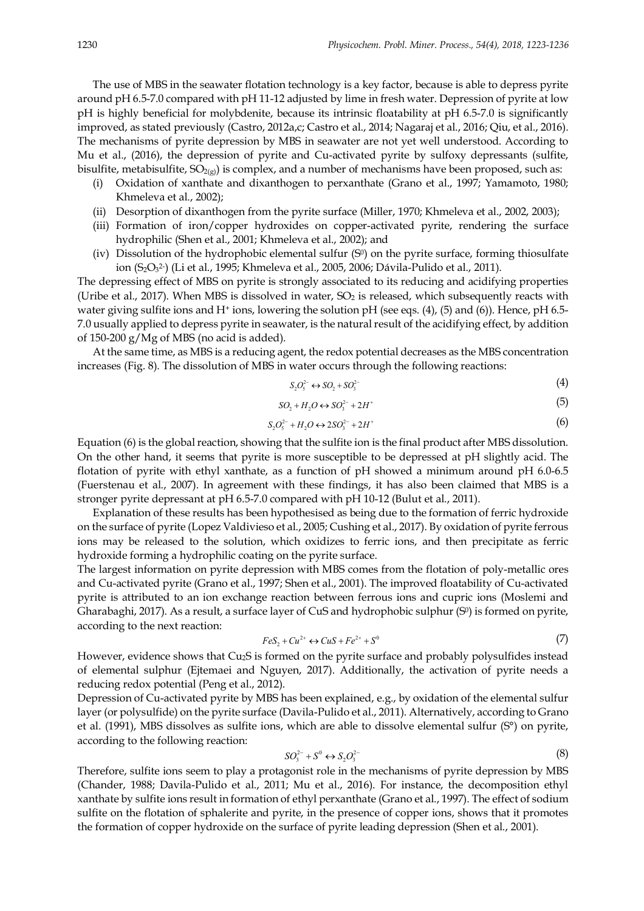The use of MBS in the seawater flotation technology is a key factor, because is able to depress pyrite around pH 6.5-7.0 compared with pH 11-12 adjusted by lime in fresh water. Depression of pyrite at low pH is highly beneficial for molybdenite, because its intrinsic floatability at pH 6.5-7.0 is significantly improved, as stated previously (Castro, 2012a,c; Castro et al., 2014; Nagaraj et al., 2016; Qiu, et al., 2016). The mechanisms of pyrite depression by MBS in seawater are not yet well understood. According to Mu et al., (2016), the depression of pyrite and Cu-activated pyrite by sulfoxy depressants (sulfite, bisulfite, metabisulfite,  $SO_{2(x)}$ ) is complex, and a number of mechanisms have been proposed, such as:

- (i) Oxidation of xanthate and dixanthogen to perxanthate (Grano et al., 1997; Yamamoto, 1980; Khmeleva et al., 2002);
- (ii) Desorption of dixanthogen from the pyrite surface (Miller, 1970; Khmeleva et al., 2002, 2003);
- (iii) Formation of iron/copper hydroxides on copper-activated pyrite, rendering the surface hydrophilic (Shen et al., 2001; Khmeleva et al., 2002); and
- (iv) Dissolution of the hydrophobic elemental sulfur  $(S<sup>0</sup>)$  on the pyrite surface, forming thiosulfate ion (S<sub>2</sub>O<sub>3</sub>2) (Li et al., 1995; Khmeleva et al., 2005, 2006; Dávila-Pulido et al., 2011).

The depressing effect of MBS on pyrite is strongly associated to its reducing and acidifying properties (Uribe et al., 2017). When MBS is dissolved in water,  $SO<sub>2</sub>$  is released, which subsequently reacts with water giving sulfite ions and H<sup>+</sup> ions, lowering the solution pH (see eqs.  $(4)$ ,  $(5)$  and  $(6)$ ). Hence, pH 6.5-7.0 usually applied to depress pyrite in seawater, is the natural result of the acidifying effect, by addition of 150-200 g/Mg of MBS (no acid is added).

At the same time, as MBS is a reducing agent, the redox potential decreases as the MBS concentration increases (Fig. 8). The dissolution of MBS in water occurs through the following reactions:

$$
S_2O_5^{2-} \leftrightarrow SO_2 + SO_3^{2-} \tag{4}
$$

$$
SO_2 + H_2O \leftrightarrow SO_3^{2-} + 2H^+ \tag{5}
$$

$$
S_2 O_5^{2-} + H_2 O \leftrightarrow 2SO_3^{2-} + 2H^+ \tag{6}
$$

Equation (6) is the global reaction, showing that the sulfite ion is the final product after MBS dissolution. On the other hand, it seems that pyrite is more susceptible to be depressed at pH slightly acid. The flotation of pyrite with ethyl xanthate, as a function of pH showed a minimum around pH 6.0-6.5 (Fuerstenau et al., 2007). In agreement with these findings, it has also been claimed that MBS is a stronger pyrite depressant at pH 6.5-7.0 compared with pH 10-12 (Bulut et al., 2011).

Explanation of these results has been hypothesised as being due to the formation of ferric hydroxide on the surface of pyrite (Lopez Valdivieso et al., 2005; Cushing et al., 2017). By oxidation of pyrite ferrous ions may be released to the solution, which oxidizes to ferric ions, and then precipitate as ferric hydroxide forming a hydrophilic coating on the pyrite surface.

The largest information on pyrite depression with MBS comes from the flotation of poly-metallic ores and Cu-activated pyrite (Grano et al., 1997; Shen et al., 2001). The improved floatability of Cu-activated pyrite is attributed to an ion exchange reaction between ferrous ions and cupric ions (Moslemi and Gharabaghi, 2017). As a result, a surface layer of CuS and hydrophobic sulphur (S<sup>0</sup>) is formed on pyrite, according to the next reaction:

$$
FeS_2 + Cu^{2+} \leftrightarrow CuS + Fe^{2+} + S^0 \tag{7}
$$

However, evidence shows that Cu<sub>2</sub>S is formed on the pyrite surface and probably polysulfides instead of elemental sulphur (Ejtemaei and Nguyen, 2017). Additionally, the activation of pyrite needs a reducing redox potential (Peng et al., 2012).

Depression of Cu-activated pyrite by MBS has been explained, e.g., by oxidation of the elemental sulfur layer (or polysulfide) on the pyrite surface (Davila-Pulido et al., 2011). Alternatively, according to Grano et al. (1991), MBS dissolves as sulfite ions, which are able to dissolve elemental sulfur (S°) on pyrite, according to the following reaction:

$$
SO_3^{2-} + S^0 \leftrightarrow S_2 O_3^{2-} \tag{8}
$$

Therefore, sulfite ions seem to play a protagonist role in the mechanisms of pyrite depression by MBS (Chander, 1988; Davila-Pulido et al., 2011; Mu et al., 2016). For instance, the decomposition ethyl xanthate by sulfite ions result in formation of ethyl perxanthate (Grano et al., 1997). The effect of sodium sulfite on the flotation of sphalerite and pyrite, in the presence of copper ions, shows that it promotes the formation of copper hydroxide on the surface of pyrite leading depression (Shen et al., 2001).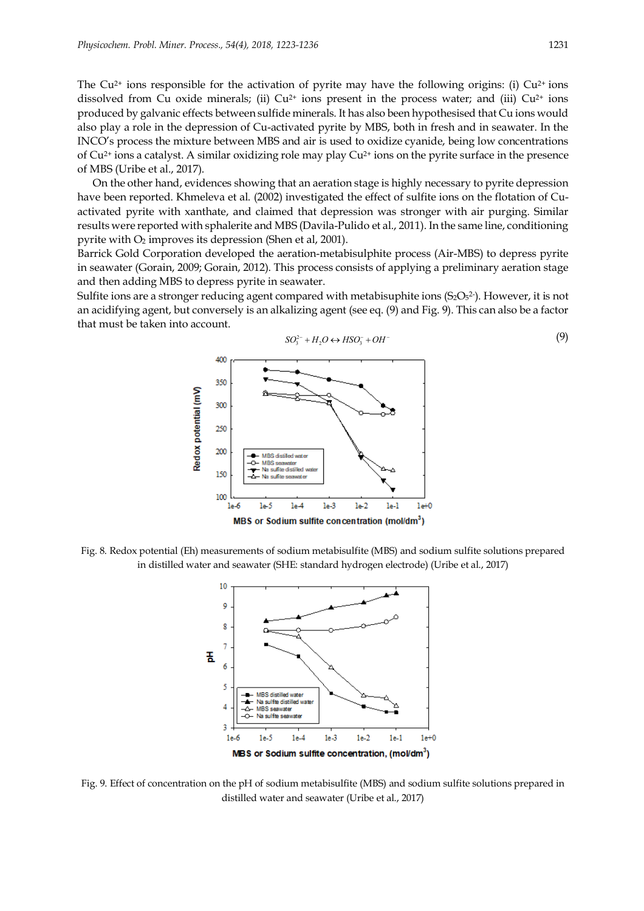The Cu<sup>2+</sup> ions responsible for the activation of pyrite may have the following origins: (i) Cu<sup>2+</sup> ions dissolved from Cu oxide minerals; (ii)  $Cu^{2+}$  ions present in the process water; and (iii)  $Cu^{2+}$  ions produced by galvanic effects between sulfide minerals. It has also been hypothesised that Cu ions would also play a role in the depression of Cu-activated pyrite by MBS, both in fresh and in seawater. In the INCO's process the mixture between MBS and air is used to oxidize cyanide, being low concentrations of  $Cu^{2+}$  ions a catalyst. A similar oxidizing role may play  $Cu^{2+}$  ions on the pyrite surface in the presence of MBS (Uribe et al., 2017).

On the other hand, evidences showing that an aeration stage is highly necessary to pyrite depression have been reported. Khmeleva et al. (2002) investigated the effect of sulfite ions on the flotation of Cuactivated pyrite with xanthate, and claimed that depression was stronger with air purging. Similar results were reported with sphalerite and MBS (Davila-Pulido et al., 2011). In the same line, conditioning pyrite with  $O_2$  improves its depression (Shen et al, 2001).

Barrick Gold Corporation developed the aeration-metabisulphite process (Air-MBS) to depress pyrite in seawater (Gorain, 2009; Gorain, 2012). This process consists of applying a preliminary aeration stage and then adding MBS to depress pyrite in seawater.

Sulfite ions are a stronger reducing agent compared with metabisuphite ions  $(S_2O<sub>5</sub><sup>2</sup>)$ . However, it is not an acidifying agent, but conversely is an alkalizing agent (see eq. (9) and Fig. 9). This can also be a factor that must be taken into account.



Fig. 8. Redox potential (Eh) measurements of sodium metabisulfite (MBS) and sodium sulfite solutions prepared in distilled water and seawater (SHE: standard hydrogen electrode) (Uribe et al., 2017)



Fig. 9. Effect of concentration on the pH of sodium metabisulfite (MBS) and sodium sulfite solutions prepared in distilled water and seawater (Uribe et al., 2017)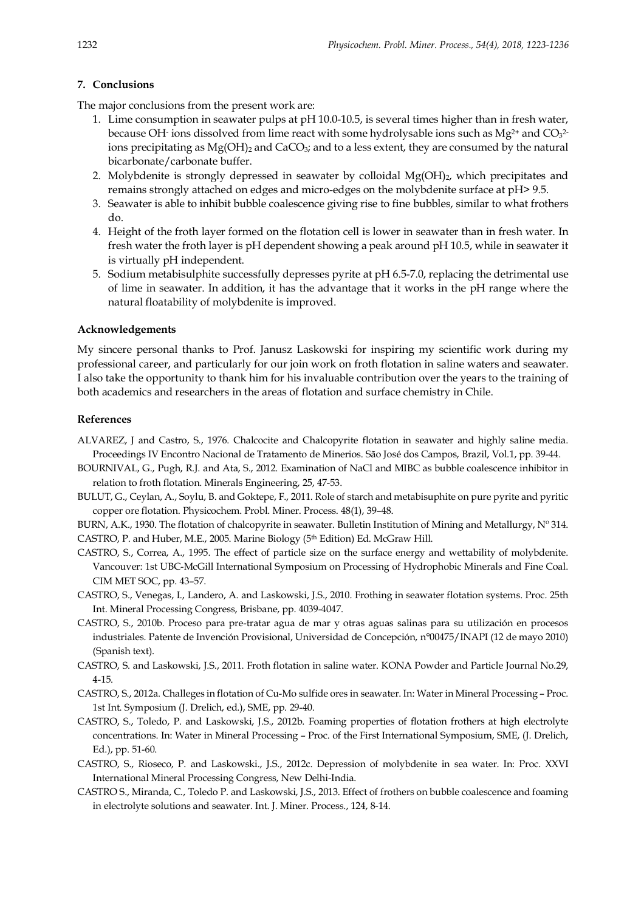## **7. Conclusions**

The major conclusions from the present work are:

- 1. Lime consumption in seawater pulps at pH 10.0-10.5, is several times higher than in fresh water, because OH- ions dissolved from lime react with some hydrolysable ions such as  $Mg^{2+}$  and  $CO<sub>3</sub><sup>2+</sup>$ ions precipitating as  $Mg(OH)_2$  and CaCO<sub>3</sub>; and to a less extent, they are consumed by the natural bicarbonate/carbonate buffer.
- 2. Molybdenite is strongly depressed in seawater by colloidal  $Mg(OH)_2$ , which precipitates and remains strongly attached on edges and micro-edges on the molybdenite surface at pH> 9.5.
- 3. Seawater is able to inhibit bubble coalescence giving rise to fine bubbles, similar to what frothers do.
- 4. Height of the froth layer formed on the flotation cell is lower in seawater than in fresh water. In fresh water the froth layer is pH dependent showing a peak around pH 10.5, while in seawater it is virtually pH independent.
- 5. Sodium metabisulphite successfully depresses pyrite at pH 6.5-7.0, replacing the detrimental use of lime in seawater. In addition, it has the advantage that it works in the pH range where the natural floatability of molybdenite is improved.

## **Acknowledgements**

My sincere personal thanks to Prof. Janusz Laskowski for inspiring my scientific work during my professional career, and particularly for our join work on froth flotation in saline waters and seawater. I also take the opportunity to thank him for his invaluable contribution over the years to the training of both academics and researchers in the areas of flotation and surface chemistry in Chile.

## **References**

- ALVAREZ, J and Castro, S., 1976. Chalcocite and Chalcopyrite flotation in seawater and highly saline media. Proceedings IV Encontro Nacional de Tratamento de Minerios. São José dos Campos, Brazil, Vol.1, pp. 39-44.
- BOURNIVAL, G., Pugh, R.J. and Ata, S., 2012. Examination of NaCl and MIBC as bubble coalescence inhibitor in relation to froth flotation. Minerals Engineering, 25, 47-53.
- BULUT, G., Ceylan, A., Soylu, B. and Goktepe, F., 2011. Role of starch and metabisuphite on pure pyrite and pyritic copper ore flotation. Physicochem. Probl. Miner. Process. 48(1), 39–48.
- BURN, A.K., 1930. The flotation of chalcopyrite in seawater. Bulletin Institution of Mining and Metallurgy, Nº 314. CASTRO, P. and Huber, M.E., 2005. Marine Biology (5th Edition) Ed. McGraw Hill.
- CASTRO, S., Correa, A., 1995. The effect of particle size on the surface energy and wettability of molybdenite. Vancouver: 1st UBC-McGill International Symposium on Processing of Hydrophobic Minerals and Fine Coal. CIM MET SOC, pp. 43–57.
- CASTRO, S., Venegas, I., Landero, A. and Laskowski, J.S., 2010. Frothing in seawater flotation systems. Proc. 25th Int. Mineral Processing Congress, Brisbane, pp. 4039-4047.
- CASTRO, S., 2010b. Proceso para pre-tratar agua de mar y otras aguas salinas para su utilización en procesos industriales. Patente de Invención Provisional, Universidad de Concepción, n°00475/INAPI (12 de mayo 2010) (Spanish text).
- CASTRO, S. and Laskowski, J.S., 2011. Froth flotation in saline water. KONA Powder and Particle Journal No.29, 4-15.
- CASTRO, S., 2012a. Challeges in flotation of Cu-Mo sulfide ores in seawater. In: Water in Mineral Processing Proc. 1st Int. Symposium (J. Drelich, ed.), SME, pp. 29-40.
- CASTRO, S., Toledo, P. and Laskowski, J.S., 2012b. Foaming properties of flotation frothers at high electrolyte concentrations. In: Water in Mineral Processing – Proc. of the First International Symposium, SME, (J. Drelich, Ed.), pp. 51-60.
- CASTRO, S., Rioseco, P. and Laskowski., J.S., 2012c. Depression of molybdenite in sea water. In: Proc. XXVI International Mineral Processing Congress, New Delhi-India.
- CASTRO S., Miranda, C., Toledo P. and Laskowski, J.S., 2013. Effect of frothers on bubble coalescence and foaming in electrolyte solutions and seawater. Int. J. Miner. Process., 124, 8-14.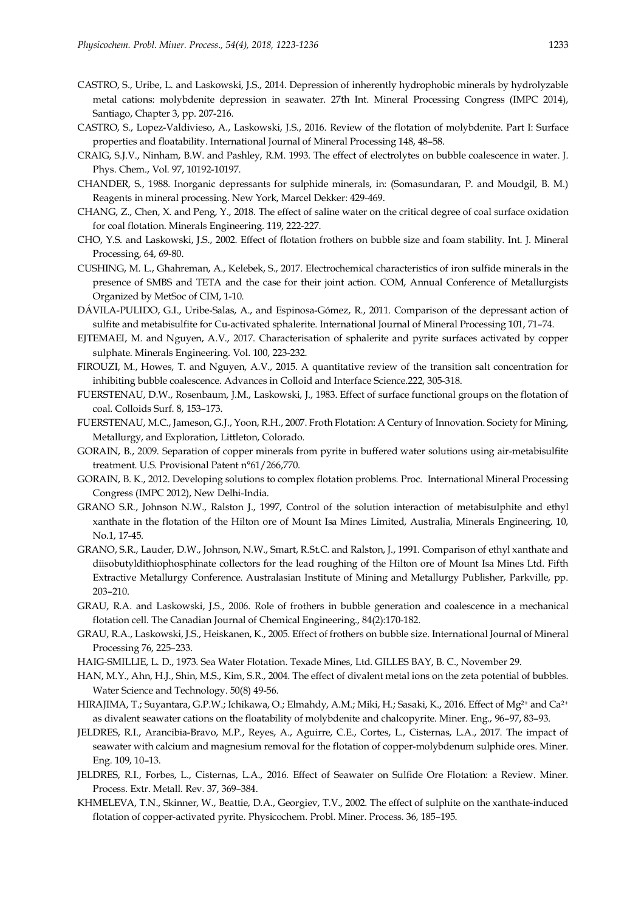- CASTRO, S., Uribe, L. and Laskowski, J.S., 2014. Depression of inherently hydrophobic minerals by hydrolyzable metal cations: molybdenite depression in seawater. 27th Int. Mineral Processing Congress (IMPC 2014), Santiago, Chapter 3, pp. 207-216.
- CASTRO, S., Lopez-Valdivieso, A., Laskowski, J.S., 2016. Review of the flotation of molybdenite. Part I: Surface properties and floatability. International Journal of Mineral Processing 148, 48–58.
- CRAIG, S.J.V., Ninham, B.W. and Pashley, R.M. 1993. The effect of electrolytes on bubble coalescence in water. J. Phys. Chem., Vol. 97, 10192-10197.
- CHANDER, S., 1988. Inorganic depressants for sulphide minerals, in: (Somasundaran, P. and Moudgil, B. M.) Reagents in mineral processing. New York, Marcel Dekker: 429-469.
- CHANG, Z., Chen, X. and Peng, Y., 2018. The effect of saline water on the critical degree of coal surface oxidation for coal flotation. Minerals Engineering. 119, 222-227.
- CHO, Y.S. and Laskowski, J.S., 2002. Effect of flotation frothers on bubble size and foam stability. Int. J. Mineral Processing, 64, 69-80.
- CUSHING, M. L., Ghahreman, A., Kelebek, S., 2017. Electrochemical characteristics of iron sulfide minerals in the presence of SMBS and TETA and the case for their joint action. COM, Annual Conference of Metallurgists Organized by MetSoc of CIM, 1-10.
- DÁVILA-PULIDO, G.I., Uribe-Salas, A., and Espinosa-Gómez, R., 2011. Comparison of the depressant action of sulfite and metabisulfite for Cu-activated sphalerite. International Journal of Mineral Processing 101, 71–74.
- EJTEMAEI, M. and Nguyen, A.V., 2017. Characterisation of sphalerite and pyrite surfaces activated by copper sulphate. Minerals Engineering. Vol. 100, 223-232.
- FIROUZI, M., Howes, T. and Nguyen, A.V., 2015. A quantitative review of the transition salt concentration for inhibiting bubble coalescence. Advances in Colloid and Interface Science.222, 305-318.
- FUERSTENAU, D.W., Rosenbaum, J.M., Laskowski, J., 1983. Effect of surface functional groups on the flotation of coal. Colloids Surf. 8, 153–173.
- FUERSTENAU, M.C., Jameson, G.J., Yoon, R.H., 2007. Froth Flotation: A Century of Innovation. Society for Mining, Metallurgy, and Exploration, Littleton, Colorado.
- GORAIN, B., 2009. Separation of copper minerals from pyrite in buffered water solutions using air-metabisulfite treatment. U.S. Provisional Patent n°61/266,770.
- GORAIN, B. K., 2012. Developing solutions to complex flotation problems. Proc. International Mineral Processing Congress (IMPC 2012), New Delhi-India.
- GRANO S.R., Johnson N.W., Ralston J., 1997, Control of the solution interaction of metabisulphite and ethyl xanthate in the flotation of the Hilton ore of Mount Isa Mines Limited, Australia, Minerals Engineering, 10, No.1, 17-45.
- GRANO, S.R., Lauder, D.W., Johnson, N.W., Smart, R.St.C. and Ralston, J., 1991. Comparison of ethyl xanthate and diisobutyldithiophosphinate collectors for the lead roughing of the Hilton ore of Mount Isa Mines Ltd. Fifth Extractive Metallurgy Conference. Australasian Institute of Mining and Metallurgy Publisher, Parkville, pp. 203–210.
- GRAU, R.A. and Laskowski, J.S., 2006. Role of frothers in bubble generation and coalescence in a mechanical flotation cell. The Canadian Journal of Chemical Engineering., 84(2):170-182.
- GRAU, R.A., Laskowski, J.S., Heiskanen, K., 2005. Effect of frothers on bubble size. International Journal of Mineral Processing 76, 225–233.
- HAIG-SMILLIE, L. D., 1973. Sea Water Flotation. Texade Mines, Ltd. GILLES BAY, B. C., November 29.
- HAN, M.Y., Ahn, H.J., Shin, M.S., Kim, S.R., 2004. The effect of divalent metal ions on the zeta potential of bubbles. Water Science and Technology. 50(8) 49-56.
- HIRAJIMA, T.; Suyantara, G.P.W.; Ichikawa, O.; Elmahdy, A.M.; Miki, H.; Sasaki, K., 2016. Effect of Mg<sup>2+</sup> and Ca<sup>2+</sup> as divalent seawater cations on the floatability of molybdenite and chalcopyrite. Miner. Eng., 96–97, 83–93.
- JELDRES, R.I., Arancibia-Bravo, M.P., Reyes, A., Aguirre, C.E., Cortes, L., Cisternas, L.A., 2017. The impact of seawater with calcium and magnesium removal for the flotation of copper-molybdenum sulphide ores. Miner. Eng. 109, 10–13.
- JELDRES, R.I., Forbes, L., Cisternas, L.A., 2016. Effect of Seawater on Sulfide Ore Flotation: a Review. Miner. Process. Extr. Metall. Rev. 37, 369–384.
- KHMELEVA, T.N., Skinner, W., Beattie, D.A., Georgiev, T.V., 2002. The effect of sulphite on the xanthate-induced flotation of copper-activated pyrite. Physicochem. Probl. Miner. Process. 36, 185–195.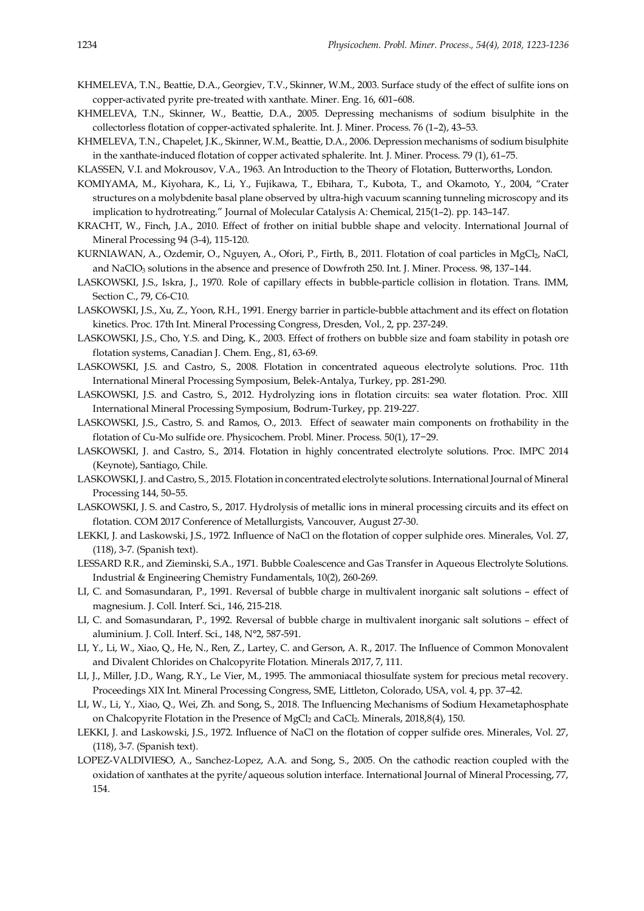- KHMELEVA, T.N., Beattie, D.A., Georgiev, T.V., Skinner, W.M., 2003. Surface study of the effect of sulfite ions on copper-activated pyrite pre-treated with xanthate. Miner. Eng. 16, 601–608.
- KHMELEVA, T.N., Skinner, W., Beattie, D.A., 2005. Depressing mechanisms of sodium bisulphite in the collectorless flotation of copper-activated sphalerite. Int. J. Miner. Process. 76 (1–2), 43–53.
- KHMELEVA, T.N., Chapelet, J.K., Skinner, W.M., Beattie, D.A., 2006. Depression mechanisms of sodium bisulphite in the xanthate-induced flotation of copper activated sphalerite. Int. J. Miner. Process. 79 (1), 61–75.
- KLASSEN, V.I. and Mokrousov, V.A., 1963. An Introduction to the Theory of Flotation, Butterworths, London.
- KOMIYAMA, M., Kiyohara, K., Li, Y., Fujikawa, T., Ebihara, T., Kubota, T., and Okamoto, Y., 2004, "Crater structures on a molybdenite basal plane observed by ultra-high vacuum scanning tunneling microscopy and its implication to hydrotreating." Journal of Molecular Catalysis A: Chemical, 215(1–2). pp. 143–147.
- KRACHT, W., Finch, J.A., 2010. Effect of frother on initial bubble shape and velocity. International Journal of Mineral Processing 94 (3-4), 115-120.
- KURNIAWAN, A., Ozdemir, O., Nguyen, A., Ofori, P., Firth, B., 2011. Flotation of coal particles in MgCl2, NaCl, and NaClO<sub>3</sub> solutions in the absence and presence of Dowfroth 250. Int. J. Miner. Process. 98, 137-144.
- LASKOWSKI, J.S., Iskra, J., 1970. Role of capillary effects in bubble-particle collision in flotation. Trans. IMM, Section C., 79, C6-C10.
- LASKOWSKI, J.S., Xu, Z., Yoon, R.H., 1991. Energy barrier in particle-bubble attachment and its effect on flotation kinetics. Proc. 17th Int. Mineral Processing Congress, Dresden, Vol., 2, pp. 237-249.
- LASKOWSKI, J.S., Cho, Y.S. and Ding, K., 2003. Effect of frothers on bubble size and foam stability in potash ore flotation systems, Canadian J. Chem. Eng., 81, 63-69.
- LASKOWSKI, J.S. and Castro, S., 2008. Flotation in concentrated aqueous electrolyte solutions. Proc. 11th International Mineral Processing Symposium, Belek-Antalya, Turkey, pp. 281-290.
- LASKOWSKI, J.S. and Castro, S., 2012. Hydrolyzing ions in flotation circuits: sea water flotation. Proc. XIII International Mineral Processing Symposium, Bodrum-Turkey, pp. 219-227.
- LASKOWSKI, J.S., Castro, S. and Ramos, O., 2013. Effect of seawater main components on frothability in the flotation of Cu-Mo sulfide ore. Physicochem. Probl. Miner. Process. 50(1), 17−29.
- LASKOWSKI, J. and Castro, S., 2014. Flotation in highly concentrated electrolyte solutions. Proc. IMPC 2014 (Keynote), Santiago, Chile.
- LASKOWSKI, J. and Castro, S., 2015. Flotation in concentrated electrolyte solutions. International Journal of Mineral Processing 144, 50–55.
- LASKOWSKI, J. S. and Castro, S., 2017. Hydrolysis of metallic ions in mineral processing circuits and its effect on flotation. COM 2017 Conference of Metallurgists, Vancouver, August 27-30.
- LEKKI, J. and Laskowski, J.S., 1972. Influence of NaCl on the flotation of copper sulphide ores. Minerales, Vol. 27, (118), 3-7. (Spanish text).
- LESSARD R.R., and Zieminski, S.A., 1971. Bubble Coalescence and Gas Transfer in Aqueous Electrolyte Solutions. Industrial & Engineering Chemistry Fundamentals, 10(2), 260-269.
- LI, C. and Somasundaran, P., 1991. Reversal of bubble charge in multivalent inorganic salt solutions effect of magnesium. J. Coll. Interf. Sci., 146, 215-218.
- LI, C. and Somasundaran, P., 1992. Reversal of bubble charge in multivalent inorganic salt solutions effect of aluminium. J. Coll. Interf. Sci., 148, N°2, 587-591.
- LI, Y., Li, W., Xiao, Q., He, N., Ren, Z., Lartey, C. and Gerson, A. R., 2017. The Influence of Common Monovalent and Divalent Chlorides on Chalcopyrite Flotation. Minerals 2017, 7, 111.
- LI, J., Miller, J.D., Wang, R.Y., Le Vier, M., 1995. The ammoniacal thiosulfate system for precious metal recovery. Proceedings XIX Int. Mineral Processing Congress, SME, Littleton, Colorado, USA, vol. 4, pp. 37–42.
- LI, W., Li, Y., Xiao, Q., Wei, Zh. and Song, S., 2018. The Influencing Mechanisms of Sodium Hexametaphosphate on Chalcopyrite Flotation in the Presence of MgCl<sub>2</sub> and CaCl<sub>2</sub>. Minerals, 2018,8(4), 150.
- LEKKI, J. and Laskowski, J.S., 1972. Influence of NaCl on the flotation of copper sulfide ores. Minerales, Vol. 27, (118), 3-7. (Spanish text).
- LOPEZ-VALDIVIESO, A., Sanchez-Lopez, A.A. and Song, S., 2005. On the cathodic reaction coupled with the oxidation of xanthates at the pyrite/aqueous solution interface. International Journal of Mineral Processing, 77, 154.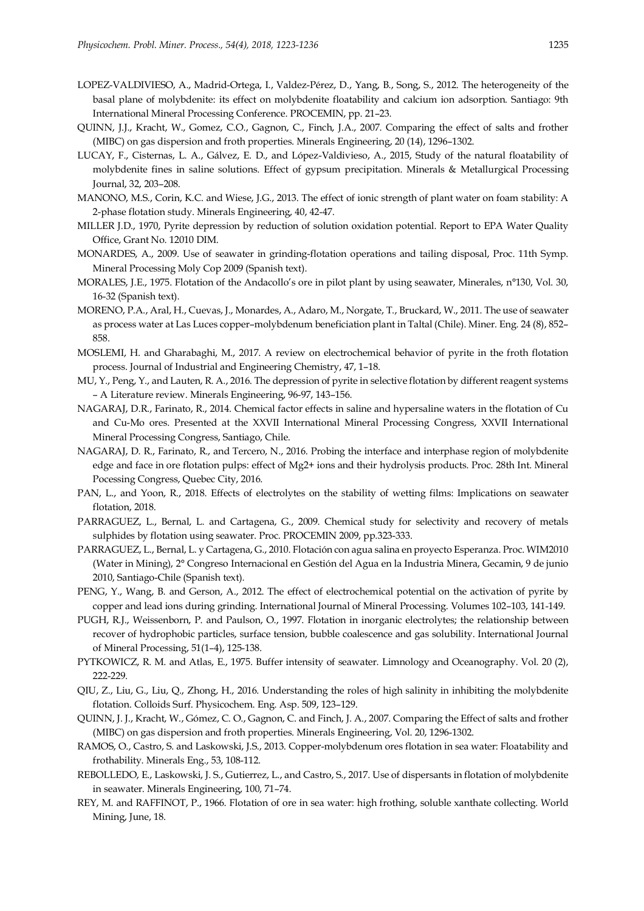- LOPEZ-VALDIVIESO, A., Madrid-Ortega, I., Valdez-Pérez, D., Yang, B., Song, S., 2012. The heterogeneity of the basal plane of molybdenite: its effect on molybdenite floatability and calcium ion adsorption. Santiago: 9th International Mineral Processing Conference. PROCEMIN, pp. 21–23.
- QUINN, J.J., Kracht, W., Gomez, C.O., Gagnon, C., Finch, J.A., 2007. Comparing the effect of salts and frother (MIBC) on gas dispersion and froth properties. Minerals Engineering, 20 (14), 1296–1302.
- LUCAY, F., Cisternas, L. A., Gálvez, E. D., and López-Valdivieso, A., 2015, Study of the natural floatability of molybdenite fines in saline solutions. Effect of gypsum precipitation. Minerals & Metallurgical Processing Journal, 32, 203–208.
- MANONO, M.S., Corin, K.C. and Wiese, J.G., 2013. The effect of ionic strength of plant water on foam stability: A 2-phase flotation study. Minerals Engineering, 40, 42-47.
- MILLER J.D., 1970, Pyrite depression by reduction of solution oxidation potential. Report to EPA Water Quality Office, Grant No. 12010 DIM.
- MONARDES, A., 2009. Use of seawater in grinding-flotation operations and tailing disposal, Proc. 11th Symp. Mineral Processing Moly Cop 2009 (Spanish text).
- MORALES, J.E., 1975. Flotation of the Andacollo's ore in pilot plant by using seawater, Minerales, n°130, Vol. 30, 16-32 (Spanish text).
- MORENO, P.A., Aral, H., Cuevas, J., Monardes, A., Adaro, M., Norgate, T., Bruckard, W., 2011. The use of seawater as process water at Las Luces copper–molybdenum beneficiation plant in Taltal (Chile). Miner. Eng. 24 (8), 852– 858.
- MOSLEMI, H. and Gharabaghi, M., 2017. A review on electrochemical behavior of pyrite in the froth flotation process. Journal of Industrial and Engineering Chemistry, 47, 1–18.
- MU, Y., Peng, Y., and Lauten, R. A., 2016. The depression of pyrite in selective flotation by different reagent systems – A Literature review. Minerals Engineering, 96-97, 143–156.
- NAGARAJ, D.R., Farinato, R., 2014. Chemical factor effects in saline and hypersaline waters in the flotation of Cu and Cu-Mo ores. Presented at the XXVII International Mineral Processing Congress, XXVII International Mineral Processing Congress, Santiago, Chile.
- NAGARAJ, D. R., Farinato, R., and Tercero, N., 2016. Probing the interface and interphase region of molybdenite edge and face in ore flotation pulps: effect of Mg2+ ions and their hydrolysis products. Proc. 28th Int. Mineral Pocessing Congress, Quebec City, 2016.
- PAN, L., and Yoon, R., 2018. Effects of electrolytes on the stability of wetting films: Implications on seawater flotation, 2018.
- PARRAGUEZ, L., Bernal, L. and Cartagena, G., 2009. Chemical study for selectivity and recovery of metals sulphides by flotation using seawater. Proc. PROCEMIN 2009, pp.323-333.
- PARRAGUEZ, L., Bernal, L. y Cartagena, G., 2010. Flotación con agua salina en proyecto Esperanza. Proc. WIM2010 (Water in Mining), 2° Congreso Internacional en Gestión del Agua en la Industria Minera, Gecamin, 9 de junio 2010, Santiago-Chile (Spanish text).
- PENG, Y., Wang, B. and Gerson, A., 2012. The effect of electrochemical potential on the activation of pyrite by copper and lead ions during grinding. International Journal of Mineral Processing. Volumes 102–103, 141-149.
- PUGH, R.J., Weissenborn, P. and Paulson, O., 1997. Flotation in inorganic electrolytes; the relationship between recover of hydrophobic particles, surface tension, bubble coalescence and gas solubility. International Journal of Mineral Processing, 51(1–4), 125-138.
- PYTKOWICZ, R. M. and Atlas, E., 1975. Buffer intensity of seawater. Limnology and Oceanography. Vol. 20 (2), 222-229.
- QIU, Z., Liu, G., Liu, Q., Zhong, H., 2016. Understanding the roles of high salinity in inhibiting the molybdenite flotation. Colloids Surf. Physicochem. Eng. Asp. 509, 123–129.
- QUINN, J. J., Kracht, W., Gómez, C. O., Gagnon, C. and Finch, J. A., 2007. Comparing the Effect of salts and frother (MIBC) on gas dispersion and froth properties. Minerals Engineering, Vol. 20, 1296-1302.
- RAMOS, O., Castro, S. and Laskowski, J.S., 2013. Copper-molybdenum ores flotation in sea water: Floatability and frothability. Minerals Eng., 53, 108-112.
- REBOLLEDO, E., Laskowski, J. S., Gutierrez, L., and Castro, S., 2017. Use of dispersants in flotation of molybdenite in seawater. Minerals Engineering, 100, 71–74.
- REY, M. and RAFFINOT, P., 1966. Flotation of ore in sea water: high frothing, soluble xanthate collecting. World Mining, June, 18.